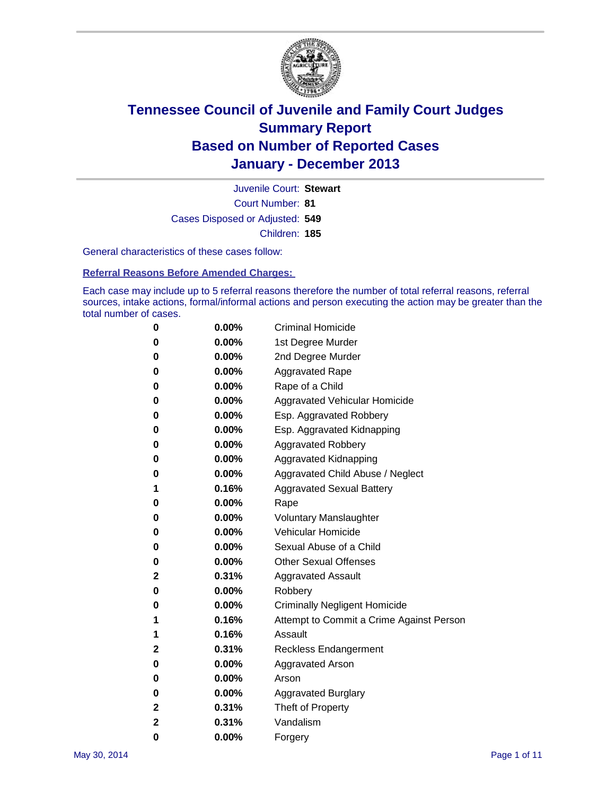

Court Number: **81** Juvenile Court: **Stewart** Cases Disposed or Adjusted: **549** Children: **185**

General characteristics of these cases follow:

**Referral Reasons Before Amended Charges:** 

Each case may include up to 5 referral reasons therefore the number of total referral reasons, referral sources, intake actions, formal/informal actions and person executing the action may be greater than the total number of cases.

| 0 | $0.00\%$ | <b>Criminal Homicide</b>                 |
|---|----------|------------------------------------------|
| 0 | 0.00%    | 1st Degree Murder                        |
| 0 | 0.00%    | 2nd Degree Murder                        |
| 0 | $0.00\%$ | <b>Aggravated Rape</b>                   |
| 0 | 0.00%    | Rape of a Child                          |
| 0 | 0.00%    | Aggravated Vehicular Homicide            |
| 0 | $0.00\%$ | Esp. Aggravated Robbery                  |
| 0 | 0.00%    | Esp. Aggravated Kidnapping               |
| 0 | 0.00%    | <b>Aggravated Robbery</b>                |
| 0 | $0.00\%$ | Aggravated Kidnapping                    |
| 0 | 0.00%    | Aggravated Child Abuse / Neglect         |
| 1 | 0.16%    | <b>Aggravated Sexual Battery</b>         |
| 0 | 0.00%    | Rape                                     |
| 0 | $0.00\%$ | <b>Voluntary Manslaughter</b>            |
| 0 | 0.00%    | <b>Vehicular Homicide</b>                |
| 0 | 0.00%    | Sexual Abuse of a Child                  |
| 0 | $0.00\%$ | <b>Other Sexual Offenses</b>             |
| 2 | 0.31%    | <b>Aggravated Assault</b>                |
| 0 | 0.00%    | Robbery                                  |
| 0 | 0.00%    | <b>Criminally Negligent Homicide</b>     |
| 1 | 0.16%    | Attempt to Commit a Crime Against Person |
| 1 | 0.16%    | Assault                                  |
| 2 | 0.31%    | Reckless Endangerment                    |
| 0 | 0.00%    | <b>Aggravated Arson</b>                  |
| 0 | 0.00%    | Arson                                    |
| 0 | 0.00%    | <b>Aggravated Burglary</b>               |
| 2 | 0.31%    | Theft of Property                        |
| 2 | 0.31%    | Vandalism                                |
| 0 | 0.00%    | Forgery                                  |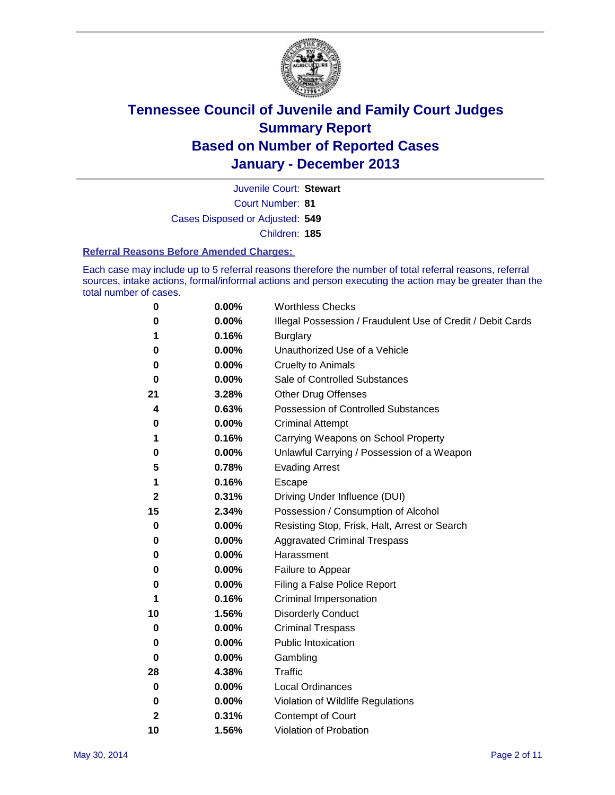

Court Number: **81** Juvenile Court: **Stewart** Cases Disposed or Adjusted: **549** Children: **185**

#### **Referral Reasons Before Amended Charges:**

Each case may include up to 5 referral reasons therefore the number of total referral reasons, referral sources, intake actions, formal/informal actions and person executing the action may be greater than the total number of cases.

| 0            | 0.00% | <b>Worthless Checks</b>                                     |
|--------------|-------|-------------------------------------------------------------|
| 0            | 0.00% | Illegal Possession / Fraudulent Use of Credit / Debit Cards |
| 1            | 0.16% | <b>Burglary</b>                                             |
| 0            | 0.00% | Unauthorized Use of a Vehicle                               |
| 0            | 0.00% | <b>Cruelty to Animals</b>                                   |
| 0            | 0.00% | Sale of Controlled Substances                               |
| 21           | 3.28% | <b>Other Drug Offenses</b>                                  |
| 4            | 0.63% | Possession of Controlled Substances                         |
| 0            | 0.00% | <b>Criminal Attempt</b>                                     |
| 1            | 0.16% | Carrying Weapons on School Property                         |
| 0            | 0.00% | Unlawful Carrying / Possession of a Weapon                  |
| 5            | 0.78% | <b>Evading Arrest</b>                                       |
| 1            | 0.16% | Escape                                                      |
| $\mathbf{2}$ | 0.31% | Driving Under Influence (DUI)                               |
| 15           | 2.34% | Possession / Consumption of Alcohol                         |
| 0            | 0.00% | Resisting Stop, Frisk, Halt, Arrest or Search               |
| 0            | 0.00% | <b>Aggravated Criminal Trespass</b>                         |
| 0            | 0.00% | Harassment                                                  |
| 0            | 0.00% | Failure to Appear                                           |
| 0            | 0.00% | Filing a False Police Report                                |
| 1            | 0.16% | Criminal Impersonation                                      |
| 10           | 1.56% | <b>Disorderly Conduct</b>                                   |
| 0            | 0.00% | <b>Criminal Trespass</b>                                    |
| 0            | 0.00% | <b>Public Intoxication</b>                                  |
| 0            | 0.00% | Gambling                                                    |
| 28           | 4.38% | Traffic                                                     |
| 0            | 0.00% | Local Ordinances                                            |
| 0            | 0.00% | Violation of Wildlife Regulations                           |
| 2            | 0.31% | Contempt of Court                                           |
| 10           | 1.56% | Violation of Probation                                      |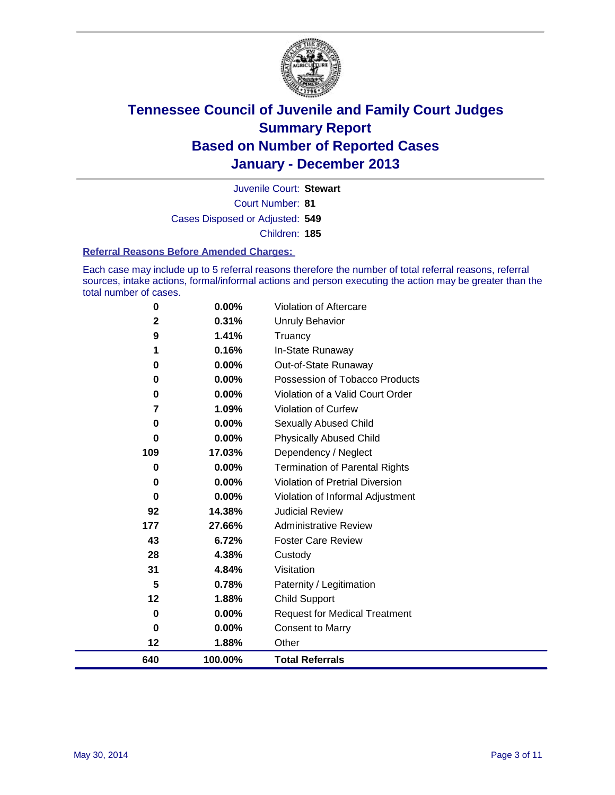

Court Number: **81** Juvenile Court: **Stewart** Cases Disposed or Adjusted: **549** Children: **185**

#### **Referral Reasons Before Amended Charges:**

Each case may include up to 5 referral reasons therefore the number of total referral reasons, referral sources, intake actions, formal/informal actions and person executing the action may be greater than the total number of cases.

| 640          | 100.00%  | <b>Total Referrals</b>                |
|--------------|----------|---------------------------------------|
| 12           | 1.88%    | Other                                 |
| 0            | 0.00%    | <b>Consent to Marry</b>               |
| $\bf{0}$     | 0.00%    | <b>Request for Medical Treatment</b>  |
| 12           | 1.88%    | <b>Child Support</b>                  |
| 5            | 0.78%    | Paternity / Legitimation              |
| 31           | 4.84%    | Visitation                            |
| 28           | 4.38%    | Custody                               |
| 43           | 6.72%    | <b>Foster Care Review</b>             |
| 177          | 27.66%   | <b>Administrative Review</b>          |
| 92           | 14.38%   | <b>Judicial Review</b>                |
| 0            | 0.00%    | Violation of Informal Adjustment      |
| 0            | 0.00%    | Violation of Pretrial Diversion       |
| $\bf{0}$     | 0.00%    | <b>Termination of Parental Rights</b> |
| 109          | 17.03%   | Dependency / Neglect                  |
| 0            | 0.00%    | <b>Physically Abused Child</b>        |
| 0            | 0.00%    | <b>Sexually Abused Child</b>          |
| 7            | 1.09%    | <b>Violation of Curfew</b>            |
| 0            | 0.00%    | Violation of a Valid Court Order      |
| 0            | 0.00%    | Possession of Tobacco Products        |
| 0            | 0.00%    | Out-of-State Runaway                  |
| 1            | 0.16%    | In-State Runaway                      |
| 9            | 1.41%    | Unruly Behavior<br>Truancy            |
| $\mathbf{2}$ | 0.31%    |                                       |
| $\bf{0}$     | $0.00\%$ | Violation of Aftercare                |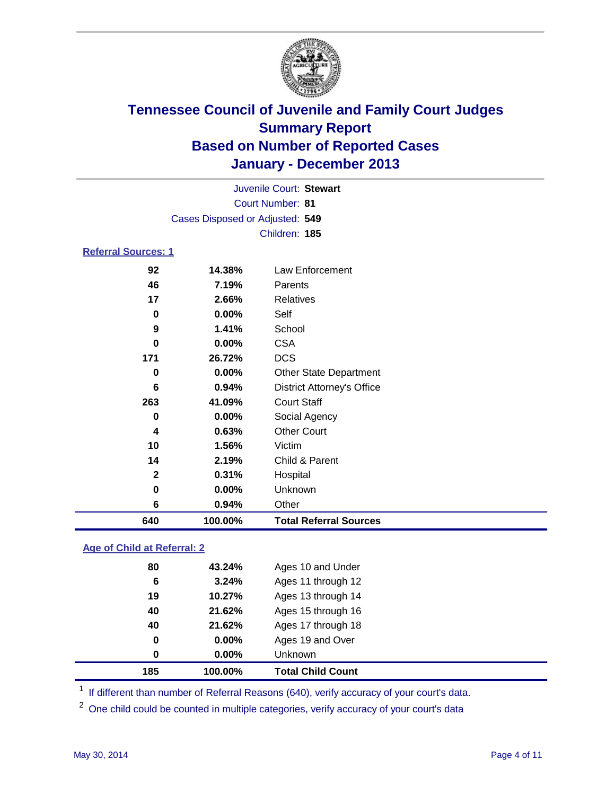

|                            |                                 | Juvenile Court: Stewart           |
|----------------------------|---------------------------------|-----------------------------------|
|                            |                                 | Court Number: 81                  |
|                            | Cases Disposed or Adjusted: 549 |                                   |
|                            |                                 | Children: 185                     |
| <b>Referral Sources: 1</b> |                                 |                                   |
| 92                         | 14.38%                          | Law Enforcement                   |
| 46                         | 7.19%                           | Parents                           |
| 17                         | 2.66%                           | <b>Relatives</b>                  |
| 0                          | 0.00%                           | Self                              |
| 9                          | 1.41%                           | School                            |
| 0                          | 0.00%                           | <b>CSA</b>                        |
| 171                        | 26.72%                          | <b>DCS</b>                        |
| 0                          | 0.00%                           | <b>Other State Department</b>     |
| 6                          | 0.94%                           | <b>District Attorney's Office</b> |
| 263                        | 41.09%                          | <b>Court Staff</b>                |
| 0                          | 0.00%                           | Social Agency                     |
| 4                          | 0.63%                           | <b>Other Court</b>                |
| 10                         | 1.56%                           | Victim                            |
| 14                         | 2.19%                           | Child & Parent                    |
| $\overline{2}$             | 0.31%                           | Hospital                          |
| 0                          | 0.00%                           | Unknown                           |
| 6                          | 0.94%                           | Other                             |
| 640                        | 100.00%                         | <b>Total Referral Sources</b>     |

### **Age of Child at Referral: 2**

| 0  | 0.00%    | <b>Unknown</b>     |
|----|----------|--------------------|
| 0  | $0.00\%$ | Ages 19 and Over   |
| 40 | 21.62%   | Ages 17 through 18 |
| 40 | 21.62%   | Ages 15 through 16 |
| 19 | 10.27%   | Ages 13 through 14 |
| 6  | 3.24%    | Ages 11 through 12 |
| 80 | 43.24%   | Ages 10 and Under  |
|    |          |                    |

<sup>1</sup> If different than number of Referral Reasons (640), verify accuracy of your court's data.

<sup>2</sup> One child could be counted in multiple categories, verify accuracy of your court's data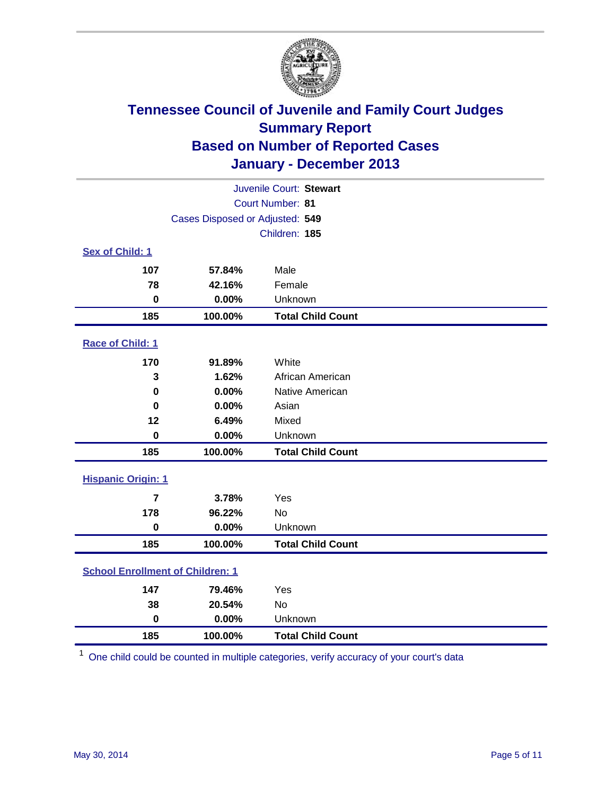

| Juvenile Court: Stewart                 |                                 |                          |  |  |
|-----------------------------------------|---------------------------------|--------------------------|--|--|
| Court Number: 81                        |                                 |                          |  |  |
|                                         | Cases Disposed or Adjusted: 549 |                          |  |  |
|                                         |                                 | Children: 185            |  |  |
| Sex of Child: 1                         |                                 |                          |  |  |
| 107                                     | 57.84%                          | Male                     |  |  |
| 78                                      | 42.16%                          | Female                   |  |  |
| $\bf{0}$                                | 0.00%                           | Unknown                  |  |  |
| 185                                     | 100.00%                         | <b>Total Child Count</b> |  |  |
| Race of Child: 1                        |                                 |                          |  |  |
| 170                                     | 91.89%                          | White                    |  |  |
| 3                                       | 1.62%                           | African American         |  |  |
| 0                                       | 0.00%                           | Native American          |  |  |
| 0                                       | 0.00%                           | Asian                    |  |  |
| 12                                      | 6.49%                           | Mixed                    |  |  |
| $\bf{0}$                                | 0.00%                           | Unknown                  |  |  |
| 185                                     | 100.00%                         | <b>Total Child Count</b> |  |  |
| <b>Hispanic Origin: 1</b>               |                                 |                          |  |  |
| 7                                       | 3.78%                           | Yes                      |  |  |
| 178                                     | 96.22%                          | No                       |  |  |
| $\bf{0}$                                | 0.00%                           | Unknown                  |  |  |
| 185                                     | 100.00%                         | <b>Total Child Count</b> |  |  |
| <b>School Enrollment of Children: 1</b> |                                 |                          |  |  |
| 147                                     | 79.46%                          | Yes                      |  |  |
| 38                                      | 20.54%                          | <b>No</b>                |  |  |
| $\mathbf 0$                             | 0.00%                           | Unknown                  |  |  |
| 185                                     | 100.00%                         | <b>Total Child Count</b> |  |  |

One child could be counted in multiple categories, verify accuracy of your court's data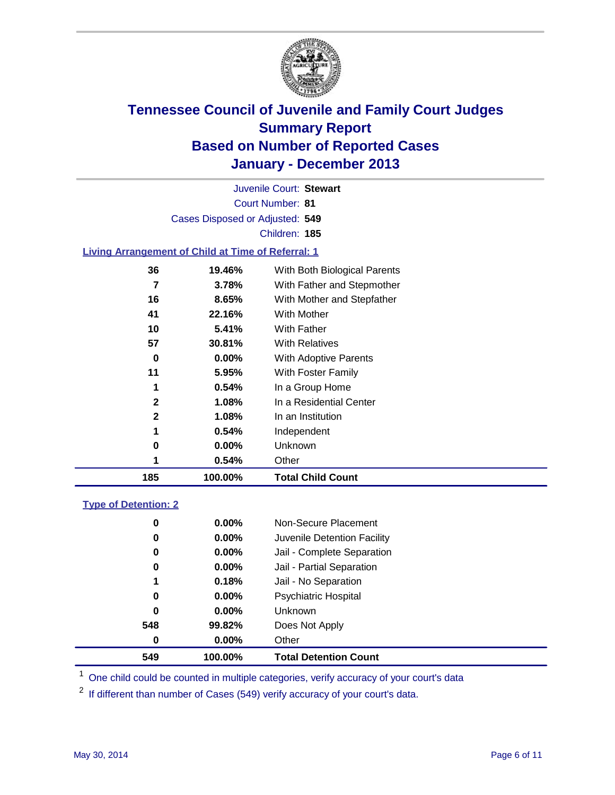

Court Number: **81** Juvenile Court: **Stewart** Cases Disposed or Adjusted: **549** Children: **185**

### **Living Arrangement of Child at Time of Referral: 1**

| 185          | 100.00%  | <b>Total Child Count</b>     |  |
|--------------|----------|------------------------------|--|
|              | $0.54\%$ | Other                        |  |
| 0            | $0.00\%$ | Unknown                      |  |
| 1            | 0.54%    | Independent                  |  |
| $\mathbf{2}$ | 1.08%    | In an Institution            |  |
| $\mathbf{2}$ | 1.08%    | In a Residential Center      |  |
| 1            | 0.54%    | In a Group Home              |  |
| 11           | 5.95%    | With Foster Family           |  |
| 0            | $0.00\%$ | <b>With Adoptive Parents</b> |  |
| 57           | 30.81%   | <b>With Relatives</b>        |  |
| 10           | 5.41%    | With Father                  |  |
| 41           | 22.16%   | With Mother                  |  |
| 16           | 8.65%    | With Mother and Stepfather   |  |
| 7            | 3.78%    | With Father and Stepmother   |  |
| 36           | 19.46%   | With Both Biological Parents |  |
|              |          |                              |  |

#### **Type of Detention: 2**

| 549 | 100.00%  | <b>Total Detention Count</b> |
|-----|----------|------------------------------|
| 0   | 0.00%    | Other                        |
| 548 | 99.82%   | Does Not Apply               |
| 0   | $0.00\%$ | <b>Unknown</b>               |
| 0   | $0.00\%$ | <b>Psychiatric Hospital</b>  |
| 1   | 0.18%    | Jail - No Separation         |
| 0   | $0.00\%$ | Jail - Partial Separation    |
| 0   | $0.00\%$ | Jail - Complete Separation   |
| 0   | 0.00%    | Juvenile Detention Facility  |
| 0   | 0.00%    | Non-Secure Placement         |
|     |          |                              |

<sup>1</sup> One child could be counted in multiple categories, verify accuracy of your court's data

If different than number of Cases (549) verify accuracy of your court's data.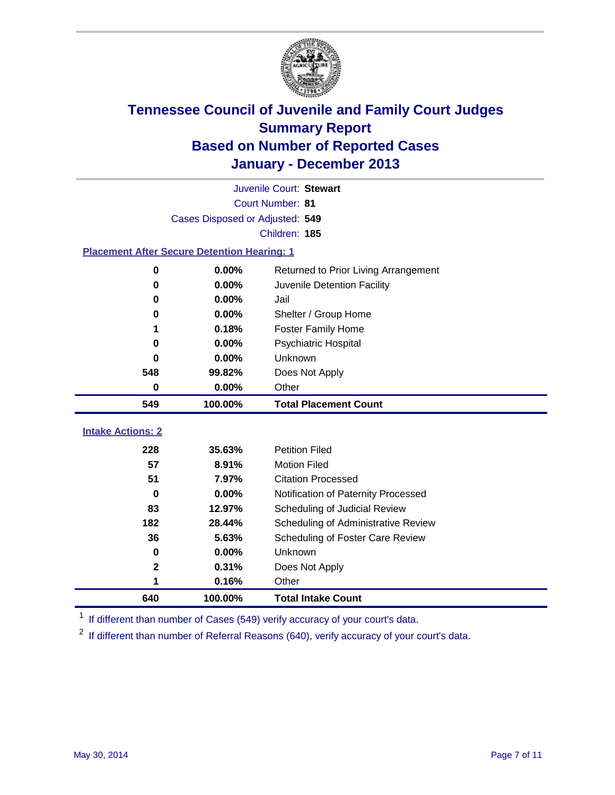

|                                                    |                                 | Juvenile Court: Stewart              |
|----------------------------------------------------|---------------------------------|--------------------------------------|
|                                                    |                                 | Court Number: 81                     |
|                                                    | Cases Disposed or Adjusted: 549 |                                      |
|                                                    |                                 | Children: 185                        |
| <b>Placement After Secure Detention Hearing: 1</b> |                                 |                                      |
| 0                                                  | 0.00%                           | Returned to Prior Living Arrangement |
| 0                                                  | 0.00%                           | Juvenile Detention Facility          |
| 0                                                  | 0.00%                           | Jail                                 |
| 0                                                  | 0.00%                           | Shelter / Group Home                 |
| 1                                                  | 0.18%                           | <b>Foster Family Home</b>            |
| 0                                                  | 0.00%                           | <b>Psychiatric Hospital</b>          |
| 0                                                  | $0.00\%$                        | Unknown                              |
| 548                                                | 99.82%                          | Does Not Apply                       |
| $\mathbf 0$                                        | 0.00%                           | Other                                |
| 549                                                | 100.00%                         | <b>Total Placement Count</b>         |
|                                                    |                                 |                                      |
| <b>Intake Actions: 2</b>                           |                                 |                                      |
| 228                                                | 35.63%                          | <b>Petition Filed</b>                |
| 57                                                 | 8.91%                           | <b>Motion Filed</b>                  |
| 51                                                 | 7.97%                           | <b>Citation Processed</b>            |
| $\bf{0}$                                           | 0.00%                           | Notification of Paternity Processed  |
| 83                                                 | 12.97%                          | Scheduling of Judicial Review        |
| 182                                                | 28.44%                          | Scheduling of Administrative Review  |
| 36                                                 | 5.63%                           | Scheduling of Foster Care Review     |
| 0                                                  | 0.00%                           | Unknown                              |
| $\mathbf 2$                                        | 0.31%                           | Does Not Apply                       |
| 1                                                  | 0.16%                           | Other                                |
| 640                                                | 100.00%                         | <b>Total Intake Count</b>            |

<sup>1</sup> If different than number of Cases (549) verify accuracy of your court's data.

<sup>2</sup> If different than number of Referral Reasons (640), verify accuracy of your court's data.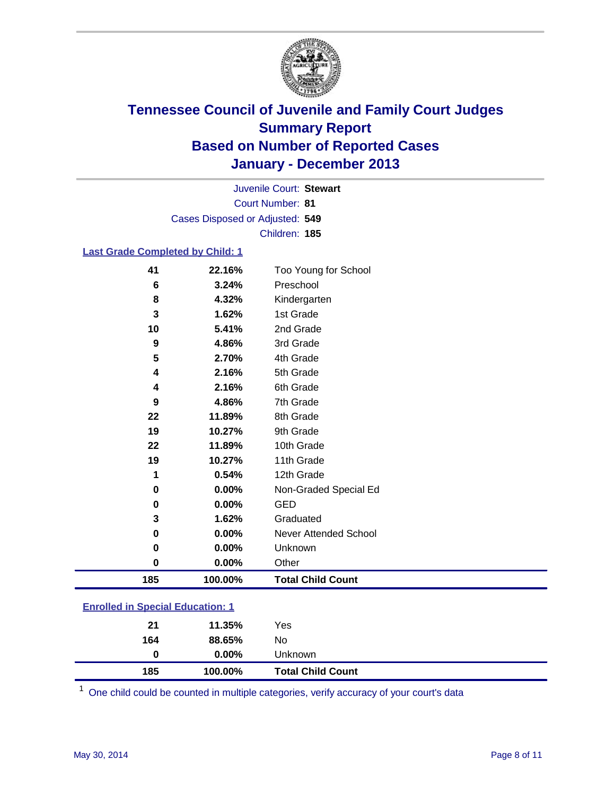

Court Number: **81** Juvenile Court: **Stewart** Cases Disposed or Adjusted: **549** Children: **185**

#### **Last Grade Completed by Child: 1**

| 41<br>22.16%<br>6<br>3.24% | Too Young for School<br>Preschool |
|----------------------------|-----------------------------------|
| 8<br>4.32%                 | Kindergarten                      |
| 3<br>1.62%                 | 1st Grade                         |
| 10<br>5.41%                | 2nd Grade                         |
|                            |                                   |
| 9<br>4.86%                 | 3rd Grade                         |
| 5<br>2.70%                 | 4th Grade                         |
| 2.16%<br>4                 | 5th Grade                         |
| 2.16%<br>4                 | 6th Grade                         |
| 9<br>4.86%                 | 7th Grade                         |
| 22<br>11.89%               | 8th Grade                         |
| 19<br>10.27%               | 9th Grade                         |
| 22<br>11.89%               | 10th Grade                        |
| 19<br>10.27%               | 11th Grade                        |
| 0.54%<br>1                 | 12th Grade                        |
| 0.00%<br>0                 | Non-Graded Special Ed             |
| 0.00%<br>0                 | <b>GED</b>                        |
| 3<br>1.62%                 | Graduated                         |
| 0.00%<br>0                 | Never Attended School             |
| 0.00%<br>0                 | Unknown                           |
| 0.00%<br>0                 | Other                             |
| 185<br>100.00%             | <b>Total Child Count</b>          |

| <b>Enrolled in Special Education: 1</b> |                                                             |  |
|-----------------------------------------|-------------------------------------------------------------|--|
| ^4                                      | $\overline{A}$ $\overline{A}$ $\overline{B}$ $\overline{B}$ |  |

| 185 | 100.00%  | <b>Total Child Count</b> |  |
|-----|----------|--------------------------|--|
| 0   | $0.00\%$ | <b>Unknown</b>           |  |
| 164 | 88.65%   | No                       |  |
| 21  | 11.35%   | Yes                      |  |

One child could be counted in multiple categories, verify accuracy of your court's data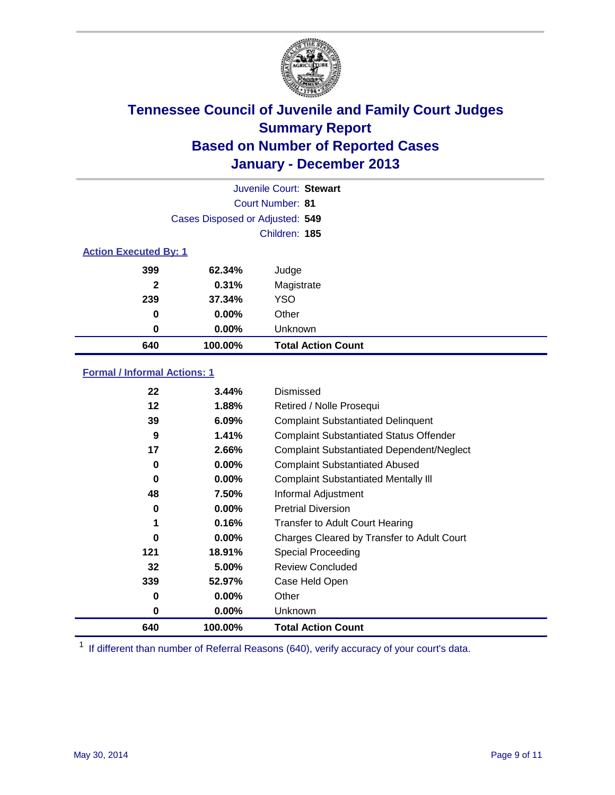

|                              |                                 | Juvenile Court: Stewart   |
|------------------------------|---------------------------------|---------------------------|
|                              |                                 | Court Number: 81          |
|                              | Cases Disposed or Adjusted: 549 |                           |
|                              |                                 | Children: 185             |
| <b>Action Executed By: 1</b> |                                 |                           |
| 399                          | 62.34%                          | Judge                     |
| $\mathbf{2}$                 | 0.31%                           | Magistrate                |
| 239                          | 37.34%                          | <b>YSO</b>                |
| 0                            | $0.00\%$                        | Other                     |
| 0                            | $0.00\%$                        | Unknown                   |
| 640                          | 100.00%                         | <b>Total Action Count</b> |

### **Formal / Informal Actions: 1**

| 22  | 3.44%    | Dismissed                                        |
|-----|----------|--------------------------------------------------|
| 12  | 1.88%    | Retired / Nolle Prosequi                         |
| 39  | 6.09%    | <b>Complaint Substantiated Delinquent</b>        |
| 9   | 1.41%    | <b>Complaint Substantiated Status Offender</b>   |
| 17  | 2.66%    | <b>Complaint Substantiated Dependent/Neglect</b> |
| 0   | 0.00%    | <b>Complaint Substantiated Abused</b>            |
| 0   | $0.00\%$ | <b>Complaint Substantiated Mentally III</b>      |
| 48  | 7.50%    | Informal Adjustment                              |
| 0   | $0.00\%$ | <b>Pretrial Diversion</b>                        |
| 1   | 0.16%    | <b>Transfer to Adult Court Hearing</b>           |
| 0   | $0.00\%$ | Charges Cleared by Transfer to Adult Court       |
| 121 | 18.91%   | Special Proceeding                               |
| 32  | 5.00%    | <b>Review Concluded</b>                          |
| 339 | 52.97%   | Case Held Open                                   |
| 0   | $0.00\%$ | Other                                            |
| 0   | $0.00\%$ | Unknown                                          |
| 640 | 100.00%  | <b>Total Action Count</b>                        |

<sup>1</sup> If different than number of Referral Reasons (640), verify accuracy of your court's data.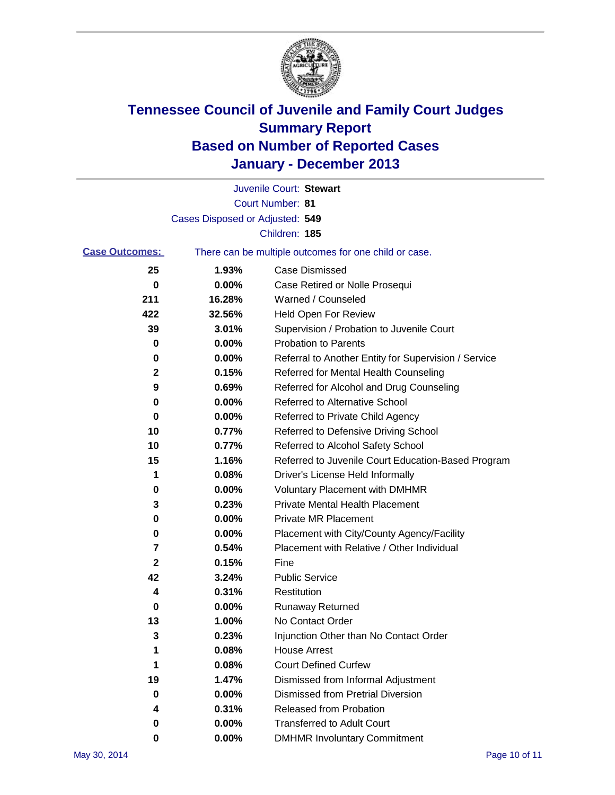

|                       |                                 | Juvenile Court: Stewart                               |
|-----------------------|---------------------------------|-------------------------------------------------------|
|                       |                                 | Court Number: 81                                      |
|                       | Cases Disposed or Adjusted: 549 |                                                       |
|                       |                                 | Children: 185                                         |
| <b>Case Outcomes:</b> |                                 | There can be multiple outcomes for one child or case. |
| 25                    | 1.93%                           | Case Dismissed                                        |
| 0                     | 0.00%                           | Case Retired or Nolle Prosequi                        |
| 211                   | 16.28%                          | Warned / Counseled                                    |
| 422                   | 32.56%                          | Held Open For Review                                  |
| 39                    | 3.01%                           | Supervision / Probation to Juvenile Court             |
| 0                     | 0.00%                           | <b>Probation to Parents</b>                           |
| 0                     | 0.00%                           | Referral to Another Entity for Supervision / Service  |
| 2                     | 0.15%                           | Referred for Mental Health Counseling                 |
| 9                     | 0.69%                           | Referred for Alcohol and Drug Counseling              |
| 0                     | 0.00%                           | <b>Referred to Alternative School</b>                 |
| 0                     | 0.00%                           | Referred to Private Child Agency                      |
| 10                    | 0.77%                           | Referred to Defensive Driving School                  |
| 10                    | 0.77%                           | Referred to Alcohol Safety School                     |
| 15                    | 1.16%                           | Referred to Juvenile Court Education-Based Program    |
| 1                     | 0.08%                           | Driver's License Held Informally                      |
| 0                     | 0.00%                           | <b>Voluntary Placement with DMHMR</b>                 |
| 3                     | 0.23%                           | <b>Private Mental Health Placement</b>                |
| 0                     | 0.00%                           | <b>Private MR Placement</b>                           |
| 0                     | 0.00%                           | Placement with City/County Agency/Facility            |
| 7                     | 0.54%                           | Placement with Relative / Other Individual            |
| $\mathbf 2$           | 0.15%                           | Fine                                                  |
| 42                    | 3.24%                           | <b>Public Service</b>                                 |
| 4                     | 0.31%                           | Restitution                                           |
| 0                     | 0.00%                           | <b>Runaway Returned</b>                               |
| 13                    | 1.00%                           | No Contact Order                                      |
| 3                     | 0.23%                           | Injunction Other than No Contact Order                |
| 1                     | 0.08%                           | <b>House Arrest</b>                                   |
| 1                     | 0.08%                           | <b>Court Defined Curfew</b>                           |
| 19                    | 1.47%                           | Dismissed from Informal Adjustment                    |
| 0                     | 0.00%                           | Dismissed from Pretrial Diversion                     |
| 4                     | 0.31%                           | Released from Probation                               |
| 0                     | 0.00%                           | <b>Transferred to Adult Court</b>                     |
| 0                     | $0.00\%$                        | <b>DMHMR Involuntary Commitment</b>                   |